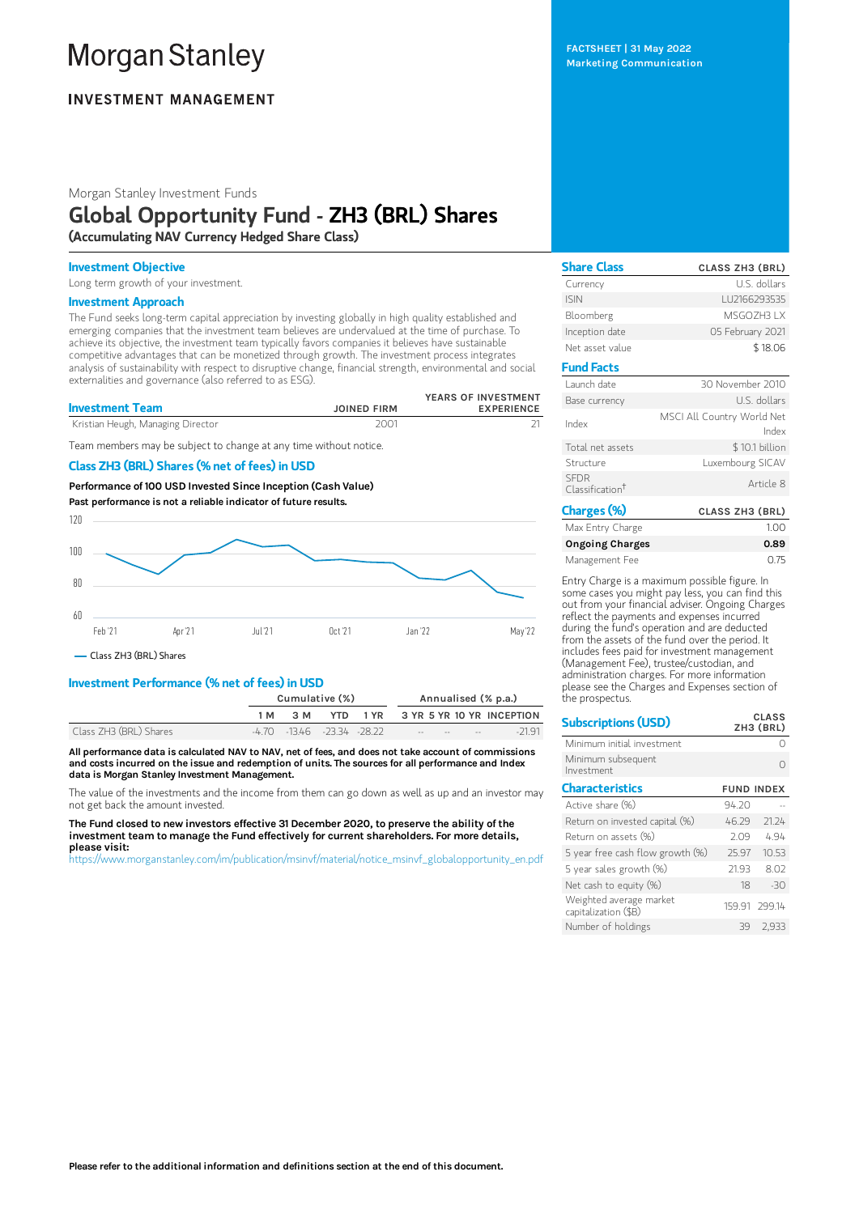# **Morgan Stanley**

# **INVESTMENT MANAGEMENT**

Morgan Stanley Investment Funds

# Global Opportunity Fund - ZH3 (BRL) Shares

(Accumulating NAV Currency Hedged Share Class)

#### Investment Objective

Long term growth of your investment.

#### Investment Approach

The Fund seeks long-term capital appreciation by investing globally in high quality established and emerging companies that the investment team believes are undervalued at the time of purchase. To achieve its objective, the investment team typically favors companies it believes have sustainable competitive advantages that can be monetized through growth. The investment process integrates analysis of sustainability with respect to disruptive change, financial strength, environmental and social externalities and governance (also referred to as ESG).

| <b>Investment Team</b>            | <b>JOINED FIRM</b> | YEARS OF INVESTMENT<br><b>EXPERIENCE</b> |
|-----------------------------------|--------------------|------------------------------------------|
| Kristian Heugh, Managing Director | 2001               |                                          |

Team members may be subject to change at any time without notice.

### Class ZH3 (BRL) Shares (% net of fees) in USD

Performance of100 USD Invested Since Inception (Cash Value) Past performance is not a reliable indicator of future results.



Class ZH3 (BRL) Shares

#### Investment Performance (% net of fees) in USD

|                        |     | Cumulative (%)                     |  |  |  |                                              | Annualised (% p.a.)                |
|------------------------|-----|------------------------------------|--|--|--|----------------------------------------------|------------------------------------|
|                        | 1 M | 3 M                                |  |  |  |                                              | YTD 1 YR 3 YR 5 YR 10 YR INCEPTION |
| Class ZH3 (BRL) Shares |     | $-4.70$ $-13.46$ $-23.34$ $-28.22$ |  |  |  | the company of the company of the company of | $-2191$                            |

All performance data is calculated NAV to NAV, net of fees, and does not take account of commissions and costs incurred on the issue and redemption of units. The sources for all performance and Index data is Morgan Stanley Investment Management.

The value of the investments and the income from them can go down as well as up and an investor may not get back the amount invested.

The Fund closed to new investors effective 31 December 2020, to preserve the ability of the investment team to manage the Fund effectively for current shareholders. For more details, please visit:

[https://www.morganstanley.com/im/publication/msinvf/material/notice\\_msinvf\\_globalopportunity\\_en.pdf](https://www.morganstanley.com/im/publication/msinvf/material/notice_msinvf_globalopportunity_en.pdf)

FACTSHEET | 31 May 2022 Marketing Communication

| <b>Share Class</b>                         | <b>CLASS ZH3 (BRL)</b>              |
|--------------------------------------------|-------------------------------------|
| Currency                                   | U.S. dollars                        |
| <b>ISIN</b>                                | LU2166293535                        |
| Bloomberg                                  | MSGO7H3 I X                         |
| Inception date                             | 05 February 2021                    |
| Net asset value                            | \$18.06                             |
| <b>Fund Facts</b>                          |                                     |
| Launch date                                | 30 November 2010                    |
| Base currency                              | U.S. dollars                        |
| Index                                      | MSCI All Country World Net<br>Index |
| Total net assets                           | \$10.1 billion                      |
| Structure                                  | Luxembourg SICAV                    |
| <b>SFDR</b><br>Classification <sup>†</sup> | Article 8                           |
| Charges (%)                                | <b>CLASS ZH3 (BRL)</b>              |

| Max Entry Charge | 1.00 |
|------------------|------|
| Ongoing Charges  | 0.89 |
| Management Fee   | 0.75 |

Entry Charge is a maximum possible figure. In some cases you might pay less, you can find this out from your financial adviser. Ongoing Charges reflect the payments and expenses incurred during the fund's operation and are deducted from the assets of the fund over the period. It includes fees paid for investment management (Management Fee), trustee/custodian, and administration charges. For more information please see the Charges and Expenses section of the prospectus.

 $\overline{a}$ .  $\overline{a}$ 

| <b>Subscriptions (USD)</b>                      |                   | ححد النا<br>ZH3 (BRL) |  |  |
|-------------------------------------------------|-------------------|-----------------------|--|--|
| Minimum initial investment                      |                   |                       |  |  |
| Minimum subsequent<br>Investment                |                   |                       |  |  |
| <b>Characteristics</b>                          | <b>FUND INDEX</b> |                       |  |  |
| Active share (%)                                | 94.20             |                       |  |  |
| Return on invested capital (%)                  | 46.29             | 21.24                 |  |  |
| Return on assets (%)                            | 2.09              | 4.94                  |  |  |
| 5 year free cash flow growth (%)                | 25.97             | 10.53                 |  |  |
| 5 year sales growth (%)                         | 21.93             | 8.02                  |  |  |
| Net cash to equity $(\%)$                       | 18                | $-30$                 |  |  |
| Weighted average market<br>capitalization (\$B) |                   | 159.91 299.14         |  |  |
| Number of holdings                              | 39                | 2.933                 |  |  |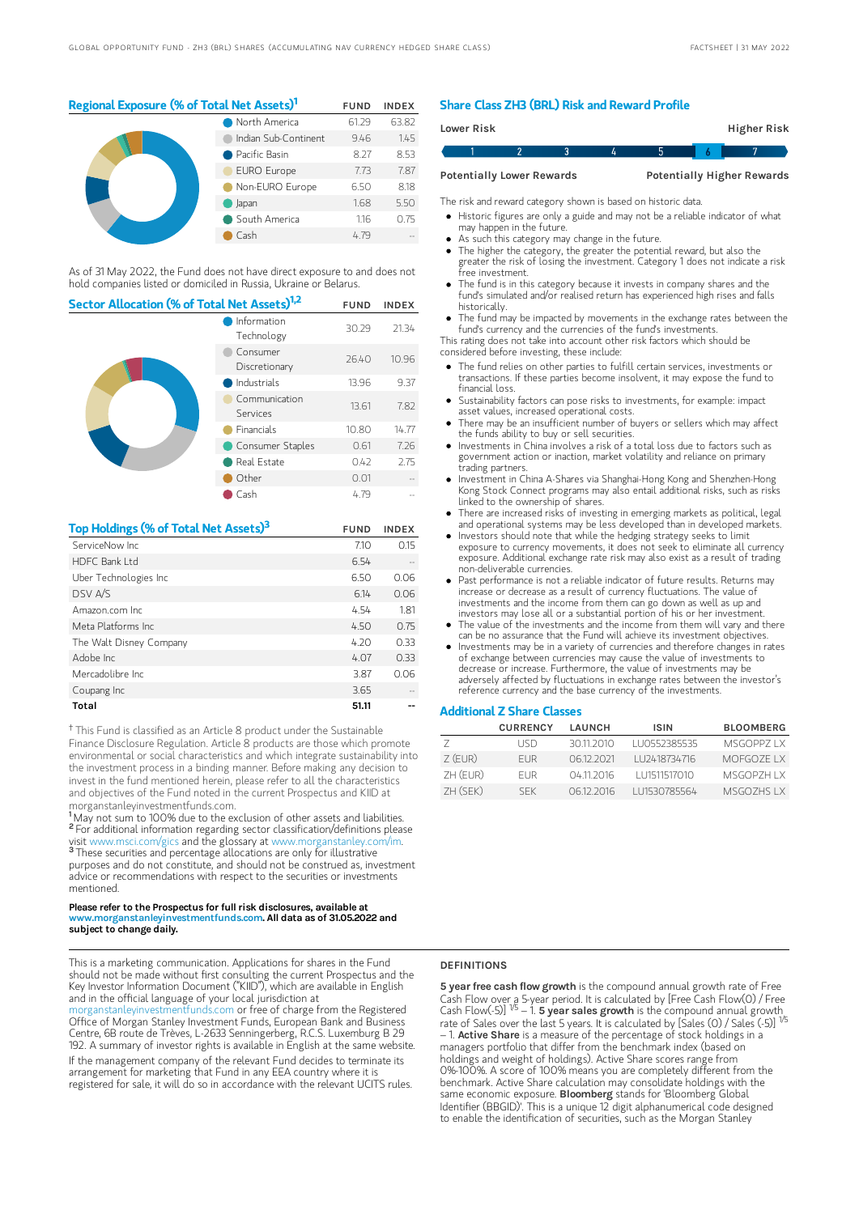## Regional Exposure (% of Total Net Assets)<sup>1</sup> FUND INDEX

|  | North America        | 61.29 | 63.82 |
|--|----------------------|-------|-------|
|  | Indian Sub-Continent | 9.46  | 1.45  |
|  | Pacific Basin        | 8.27  | 8.53  |
|  | <b>EURO Europe</b>   | 7.73  | 7.87  |
|  | Non-EURO Europe      | 6.50  | 8.18  |
|  | Japan                | 1.68  | 5.50  |
|  | South America        | 1.16  | 0.75  |
|  | Cash                 | 4 79  |       |

As of 31 May 2022, the Fund does not have direct exposure to and does not hold companies listed or domiciled in Russia, Ukraine or Belarus.

| Sector Allocation (% of Total Net Assets) <sup>1,2</sup> |                           |       | <b>INDEX</b> |
|----------------------------------------------------------|---------------------------|-------|--------------|
|                                                          | Information<br>Technology | 30.29 | 21.34        |
|                                                          | Consumer<br>Discretionary | 26.40 | 10.96        |
|                                                          | Industrials               | 13.96 | 9.37         |
|                                                          | Communication<br>Services | 13.61 | 7.82         |
|                                                          | <b>Financials</b>         | 10.80 | 14.77        |
|                                                          | Consumer Staples          | 0.61  | 7.26         |
|                                                          | Real Estate               | 0.42  | 2.75         |
|                                                          | Other                     | 0.01  |              |
|                                                          | Cash                      | 4.79  |              |

| Top Holdings (% of Total Net Assets) <sup>3</sup> | <b>FUND</b> | <b>INDEX</b> |
|---------------------------------------------------|-------------|--------------|
| ServiceNow Inc.                                   | 7.10        | 0.15         |
| HDFC Bank I td                                    | 6.54        |              |
| Uber Technologies Inc                             | 6.50        | 0.06         |
| DSV A/S                                           | 6.14        | 0.06         |
| Amazon.com Inc.                                   | 4.54        | 1.81         |
| Meta Platforms Inc.                               | 4.50        | 0.75         |
| The Walt Disney Company                           | 4.20        | 0.33         |
| Adobe Inc.                                        | 4.07        | 0.33         |
| Mercadolibre Inc.                                 | 3.87        | 0.06         |
| Coupang Inc                                       | 3.65        |              |
| Total                                             | 51.11       |              |

<sup>†</sup> This Fund is classified as an Article 8 product under the Sustainable Finance Disclosure Regulation. Article 8 products are those which promote environmental or social characteristics and which integrate sustainability into the investment process in a binding manner. Before making any decision to invest in the fund mentioned herein, please refer to all the characteristics and objectives of the Fund noted in the current Prospectus and KIID at morganstanleyinvestmentfunds.com.

<sup>1</sup>May not sum to 100% due to the exclusion of other assets and liabilities. <sup>2</sup> For additional information regarding sector classification/definitions please visit www.msci.com/gics and the glossary at www.morganstanley.com/im. <sup>3</sup> These securities and percentage allocations are only for illustrative purposes and do not constitute, and should not be construed as, investment advice or recommendations with respect to the securities or investments mentioned.

#### Please refer to the Prospectus for full risk disclosures, available at www.morganstanleyinvestmentfunds.com. All data as of 31.05.2022 and subject to change daily.

This is a marketing communication. Applications for shares in the Fund should not be made without first consulting the current Prospectus and the Key Investor Information Document ("KIID"), which are available in English and in the official language of your local jurisdiction at

organstanleyinvestmentfunds.com or free of charge from the Registered Office of Morgan Stanley Investment Funds, European Bank and Business Centre, 6B route de Trèves, L-2633 Senningerberg, R.C.S. Luxemburg B 29 192. A summary of investor rights is available in English at the same website.

If the management company of the relevant Fund decides to terminate its arrangement for marketing that Fund in any EEA country where it is registered for sale, it will do so in accordance with the relevant UCITS rules.

#### Share Class ZH3 (BRL) Risk and Reward Profile

| Lower Risk |                                  |  |  | Higher Risk                       |  |
|------------|----------------------------------|--|--|-----------------------------------|--|
|            |                                  |  |  |                                   |  |
|            | <b>Potentially Lower Rewards</b> |  |  | <b>Potentially Higher Rewards</b> |  |

The risk and reward category shown is based on historic data.

- Historic figures are only a guide and may not be a reliable indicator of what may happen in the future.
- As such this category may change in the future.
- The higher the category, the greater the potential reward, but also the greater the risk of losing the investment. Category 1 does not indicate a risk free investment.
- The fund is in this category because it invests in company shares and the fund's simulated and/or realised return has experienced high rises and falls historically.
- The fund may be impacted by movements in the exchange rates between the fund's currency and the currencies of the fund's investments.

This rating does not take into account other risk factors which should be considered before investing, these include:

- The fund relies on other parties to fulfill certain services, investments or transactions. If these parties become insolvent, it may expose the fund to financial loss.
- Sustainability factors can pose risks to investments, for example: impact asset values, increased operational costs.
- There may be an insufficient number of buyers or sellers which may affect the funds ability to buy or sell securities.
- Investments in China involves a risk of a total loss due to factors such as government action or inaction, market volatility and reliance on primary trading partners.
- Investment in China A-Shares via Shanghai-Hong Kong and Shenzhen-Hong Kong Stock Connect programs may also entail additional risks, such as risks linked to the ownership of shares.
- There are increased risks of investing in emerging markets as political, legal and operational systems may be less developed than in developed markets.
- Investors should note that while the hedging strategy seeks to limit exposure to currency movements, it does not seek to eliminate all currency exposure. Additional exchange rate risk may also exist as a result of trading non-deliverable currencies.
- Past performance is not a reliable indicator of future results. Returns may increase or decrease as a result of currency fluctuations. The value of investments and the income from them can go down as well as up and investors may lose all or a substantial portion of his or her investment.
- The value of the investments and the income from them will vary and there can be no assurance that the Fund will achieve its investment objectives.
- Investments may be in a variety of currencies and therefore changes in rates of exchange between currencies may cause the value of investments to decrease or increase. Furthermore, the value of investments may be adversely affected by fluctuations in exchange rates between the investor's reference currency and the base currency of the investments.

#### Additional Z Share Classes

|           | <b>CURRENCY</b> | LAUNCH     | <b>ISIN</b>  | <b>BLOOMBERG</b> |
|-----------|-----------------|------------|--------------|------------------|
|           | LISD            | 30112010   | LU0552385535 | MSGOPP7 IX       |
| $7$ (FUR) | FI JR.          | 06122021   | LU2418734716 | MOFGOZE I X      |
| ZH (EUR)  | FI JR.          | 04 11 2016 | LU1511517010 | MSGOP7H I X      |
| 7H(SFK)   | <b>SFK</b>      | 06122016   | LU1530785564 | MSGO7HS I X      |

#### DEFINITIONS

5 year free cash flow growth is the compound annual growth rate of Free Cash Flow over a 5-year period. It is calculated by [Free Cash Flow(0) / Free<br>Cash Flow(-5)] <sup>1/5</sup> – 1. **5 year saIes growth** is the compound annual growth\_ rate of Sales over the last 5 years. It is calculated by [Sales (0) / Sales (-5)]  $-$  1. Active Share is a measure of the percentage of stock holdings in a managers portfolio that differ from the benchmark index (based on holdings and weight of holdings). Active Share scores range from 0%-100%. A score of 100% means you are completely different from the benchmark. Active Share calculation may consolidate holdings with the same economic exposure. Bloomberg stands for 'Bloomberg Global Identifier (BBGID)'. This is a unique 12 digit alphanumerical code designed to enable the identification of securities, such as the Morgan Stanley 1/5 1/5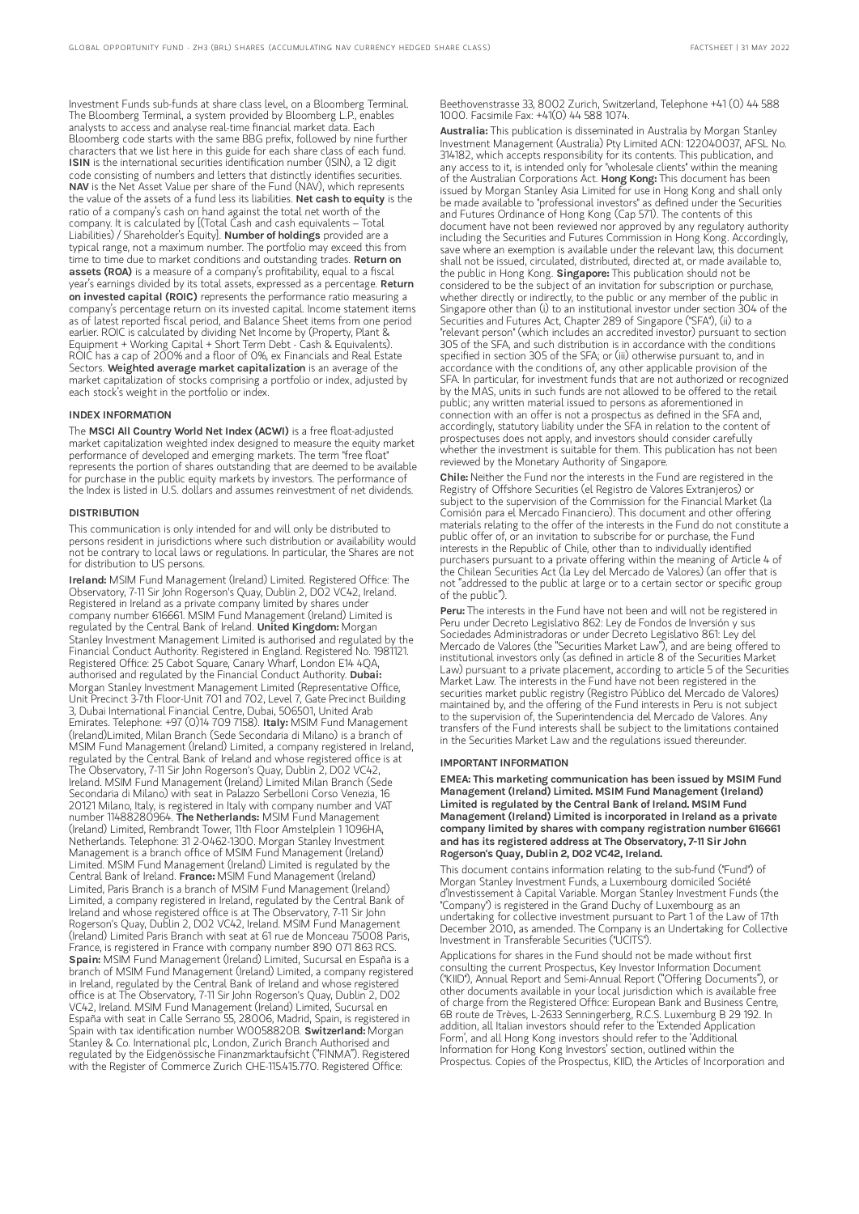Investment Funds sub-funds at share class level, on a Bloomberg Terminal. The Bloomberg Terminal, a system provided by Bloomberg L.P., enables analysts to access and analyse real-time financial market data. Each Bloomberg code starts with the same BBG prefix, followed by nine further characters that we list here in this guide for each share class of each fund. ISIN is the international securities identification number (ISIN), a 12 digit code consisting of numbers and letters that distinctly identifies securities. NAV is the Net Asset Value per share of the Fund (NAV), which represents the value of the assets of a fund less its liabilities. Net cash to equity is the ratio of a company's cash on hand against the total net worth of the company. It is calculated by [(Total Cash and cash equivalents – Total Liabilities) / Shareholder's Equity]. Number of holdings provided are a typical range, not a maximum number. The portfolio may exceed this from time to time due to market conditions and outstanding trades. **Return on** assets (ROA) is a measure of a company's profitability, equal to a fiscal year's earnings divided by its total assets, expressed as a percentage. **Return** on invested capital (ROIC) represents the performance ratio measuring a company's percentage return on its invested capital. Income statement items as of latest reported fiscal period, and Balance Sheet items from one period earlier. ROIC is calculated by dividing Net Income by (Property, Plant & Equipment + Working Capital + Short Term Debt - Cash & Equivalents). ROIC has a cap of 200% and a floor of 0%, ex Financials and Real Estate Sectors. Weighted average market capitalization is an average of the market capitalization of stocks comprising a portfolio or index, adjusted by each stock's weight in the portfolio or index.

#### INDEX INFORMATION

The MSCI All Country World Net Index (ACWI) is a free float-adjusted market capitalization weighted index designed to measure the equity market performance of developed and emerging markets. The term "free float" represents the portion of shares outstanding that are deemed to be available for purchase in the public equity markets by investors. The performance of the Index is listed in U.S. dollars and assumes reinvestment of net dividends.

#### **DISTRIBUTION**

This communication is only intended for and will only be distributed to persons resident in jurisdictions where such distribution or availability would not be contrary to local laws or regulations. In particular, the Shares are not for distribution to US persons.

Ireland: MSIM Fund Management (Ireland) Limited. Registered Office: The Observatory, 7-11 Sir John Rogerson's Quay, Dublin 2, D02 VC42, Ireland. Registered in Ireland as a private company limited by shares under company number 616661. MSIM Fund Management (Ireland) Limited is regulated by the Central Bank of Ireland. United Kingdom: Morgan Stanley Investment Management Limited is authorised and regulated by the Financial Conduct Authority. Registered in England. Registered No. 1981121. Registered Office: 25 Cabot Square, Canary Wharf, London E14 4QA, authorised and regulated by the Financial Conduct Authority. Dubai: Morgan Stanley Investment Management Limited (Representative Office, Unit Precinct 3-7th Floor-Unit 701 and 702, Level 7, Gate Precinct Building 3, Dubai International Financial Centre, Dubai, 506501, United Arab Emirates. Telephone: +97 (0)14 709 7158). Italy: MSIM Fund Management (Ireland)Limited, Milan Branch (Sede Secondaria di Milano) is a branch of MSIM Fund Management (Ireland) Limited, a company registered in Ireland, regulated by the Central Bank of Ireland and whose registered office is at The Observatory, 7-11 Sir John Rogerson's Quay, Dublin 2, D02 VC42, Ireland. MSIM Fund Management (Ireland) Limited Milan Branch (Sede Secondaria di Milano) with seat in Palazzo Serbelloni Corso Venezia, 16 20121 Milano, Italy, is registered in Italy with company number and VAT number 11488280964. The Netherlands: MSIM Fund Management (Ireland) Limited, Rembrandt Tower, 11th Floor Amstelplein 1 1096HA, Netherlands. Telephone: 31 2-0462-1300. Morgan Stanley Investment Management is a branch office of MSIM Fund Management (Ireland) Limited. MSIM Fund Management (Ireland) Limited is regulated by the Central Bank of Ireland. France: MSIM Fund Management (Ireland) Limited, Paris Branch is a branch of MSIM Fund Management (Ireland) Limited, a company registered in Ireland, regulated by the Central Bank of Ireland and whose registered office is at The Observatory, 7-11 Sir John Rogerson's Quay, Dublin 2, D02 VC42, Ireland. MSIM Fund Management (Ireland) Limited Paris Branch with seat at 61 rue de Monceau 75008 Paris, France, is registered in France with company number 890 071 863 RCS. Spain: MSIM Fund Management (Ireland) Limited, Sucursal en España is a branch of MSIM Fund Management (Ireland) Limited, a company registered in Ireland, regulated by the Central Bank of Ireland and whose registered office is at The Observatory, 7-11 Sir John Rogerson's Quay, Dublin 2, D02 VC42, Ireland. MSIM Fund Management (Ireland) Limited, Sucursal en España with seat in Calle Serrano 55, 28006, Madrid, Spain, is registered in Spain with tax identification number W0058820B. Switzerland: Morgan Stanley & Co. International plc, London, Zurich Branch Authorised and regulated by the Eidgenössische Finanzmarktaufsicht ("FINMA"). Registered with the Register of Commerce Zurich CHE-115.415.770. Registered Office:

Beethovenstrasse 33, 8002 Zurich, Switzerland, Telephone +41 (0) 44 588 1000. Facsimile Fax: +41(0) 44 588 1074.

Australia: This publication is disseminated in Australia by Morgan Stanley Investment Management (Australia) Pty Limited ACN: 122040037, AFSL No. 314182, which accepts responsibility for its contents. This publication, and any access to it, is intended only for "wholesale clients" within the meaning of the Australian Corporations Act. Hong Kong: This document has been issued by Morgan Stanley Asia Limited for use in Hong Kong and shall only be made available to "professional investors" as defined under the Securities and Futures Ordinance of Hong Kong (Cap 571). The contents of this document have not been reviewed nor approved by any regulatory authority including the Securities and Futures Commission in Hong Kong. Accordingly, save where an exemption is available under the relevant law, this document shall not be issued, circulated, distributed, directed at, or made available to, the public in Hong Kong. Singapore: This publication should not be considered to be the subject of an invitation for subscription or purchase, whether directly or indirectly, to the public or any member of the public in Singapore other than (i) to an institutional investor under section 304 of the Securities and Futures Act, Chapter 289 of Singapore ("SFA"), (ii) to a "relevant person" (which includes an accredited investor) pursuant to section 305 of the SFA, and such distribution is in accordance with the conditions specified in section 305 of the SFA; or (iii) otherwise pursuant to, and in accordance with the conditions of, any other applicable provision of the SFA. In particular, for investment funds that are not authorized or recognized by the MAS, units in such funds are not allowed to be offered to the retail public; any written material issued to persons as aforementioned in connection with an offer is not a prospectus as defined in the SFA and, accordingly, statutory liability under the SFA in relation to the content of prospectuses does not apply, and investors should consider carefully whether the investment is suitable for them. This publication has not been reviewed by the Monetary Authority of Singapore.

Chile: Neither the Fund nor the interests in the Fund are registered in the Registry of Offshore Securities (el Registro de Valores Extranjeros) or subject to the supervision of the Commission for the Financial Market (la Comisión para el Mercado Financiero). This document and other offering materials relating to the offer of the interests in the Fund do not constitute a public offer of, or an invitation to subscribe for or purchase, the Fund interests in the Republic of Chile, other than to individually identified purchasers pursuant to a private offering within the meaning of Article 4 of the Chilean Securities Act (la Ley del Mercado de Valores) (an offer that is not "addressed to the public at large or to a certain sector or specific group of the public").

Peru: The interests in the Fund have not been and will not be registered in Peru under Decreto Legislativo 862: Ley de Fondos de Inversión y sus Sociedades Administradoras or under Decreto Legislativo 861: Ley del Mercado de Valores (the "Securities Market Law"), and are being offered to institutional investors only (as defined in article 8 of the Securities Market Law) pursuant to a private placement, according to article 5 of the Securities Market Law. The interests in the Fund have not been registered in the securities market public registry (Registro Público del Mercado de Valores) maintained by, and the offering of the Fund interests in Peru is not subject to the supervision of, the Superintendencia del Mercado de Valores. Any transfers of the Fund interests shall be subject to the limitations contained in the Securities Market Law and the regulations issued thereunder.

#### IMPORTANT INFORMATION

EMEA: This marketing communication has been issued by MSIM Fund Management (Ireland) Limited. MSIM Fund Management (Ireland) Limited is regulated by the Central Bank of Ireland. MSIM Fund Management (Ireland) Limited is incorporated in Ireland as a private company limited by shares with company registration number 616661 and has its registered address at The Observatory, 7-11 Sir John Rogerson's Quay, Dublin 2, D02 VC42, Ireland.

This document contains information relating to the sub-fund ("Fund") of Morgan Stanley Investment Funds, a Luxembourg domiciled Société d'Investissement à Capital Variable. Morgan Stanley Investment Funds (the "Company") is registered in the Grand Duchy of Luxembourg as an undertaking for collective investment pursuant to Part 1 of the Law of 17th December 2010, as amended. The Company is an Undertaking for Collective Investment in Transferable Securities ("UCITS").

Applications for shares in the Fund should not be made without first consulting the current Prospectus, Key Investor Information Document ("KIID"), Annual Report and Semi-Annual Report ("Offering Documents"), or other documents available in your local jurisdiction which is available free of charge from the Registered Office: European Bank and Business Centre, 6B route de Trèves, L-2633 Senningerberg, R.C.S. Luxemburg B 29 192. In addition, all Italian investors should refer to the 'Extended Application Form', and all Hong Kong investors should refer to the 'Additional Information for Hong Kong Investors' section, outlined within the Prospectus. Copies of the Prospectus, KIID, the Articles of Incorporation and